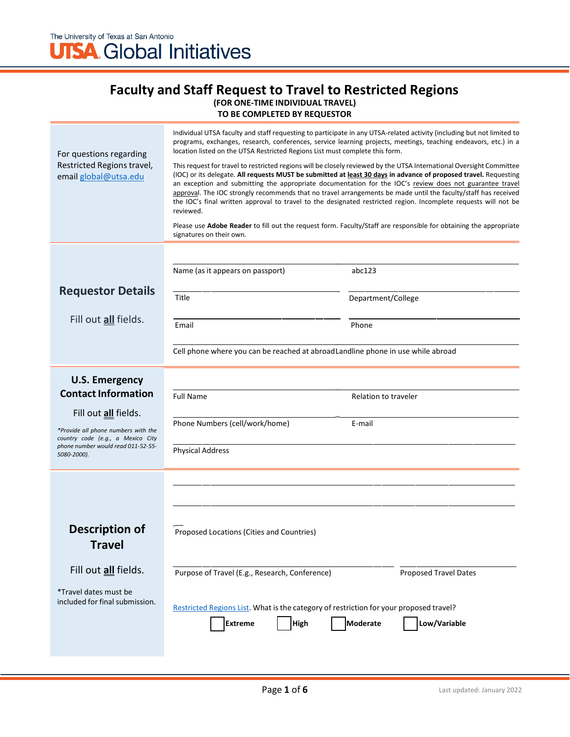#### **Faculty and Staff Request to Travel to Restricted Regions (FOR ONE-TIME INDIVIDUAL TRAVEL) TO BE COMPLETED BY REQUESTOR**

| For questions regarding<br>Restricted Regions travel,<br>email global@utsa.edu         | Individual UTSA faculty and staff requesting to participate in any UTSA-related activity (including but not limited to<br>programs, exchanges, research, conferences, service learning projects, meetings, teaching endeavors, etc.) in a<br>location listed on the UTSA Restricted Regions List must complete this form.<br>This request for travel to restricted regions will be closely reviewed by the UTSA International Oversight Committee<br>(IOC) or its delegate. All requests MUST be submitted at least 30 days in advance of proposed travel. Requesting<br>an exception and submitting the appropriate documentation for the IOC's review does not guarantee travel<br>approval. The IOC strongly recommends that no travel arrangements be made until the faculty/staff has received<br>the IOC's final written approval to travel to the designated restricted region. Incomplete requests will not be<br>reviewed.<br>Please use <b>Adobe Reader</b> to fill out the request form. Faculty/Staff are responsible for obtaining the appropriate<br>signatures on their own. |                              |  |  |
|----------------------------------------------------------------------------------------|---------------------------------------------------------------------------------------------------------------------------------------------------------------------------------------------------------------------------------------------------------------------------------------------------------------------------------------------------------------------------------------------------------------------------------------------------------------------------------------------------------------------------------------------------------------------------------------------------------------------------------------------------------------------------------------------------------------------------------------------------------------------------------------------------------------------------------------------------------------------------------------------------------------------------------------------------------------------------------------------------------------------------------------------------------------------------------------------|------------------------------|--|--|
|                                                                                        |                                                                                                                                                                                                                                                                                                                                                                                                                                                                                                                                                                                                                                                                                                                                                                                                                                                                                                                                                                                                                                                                                             |                              |  |  |
|                                                                                        | Name (as it appears on passport)                                                                                                                                                                                                                                                                                                                                                                                                                                                                                                                                                                                                                                                                                                                                                                                                                                                                                                                                                                                                                                                            | abc123                       |  |  |
| <b>Requestor Details</b>                                                               | Title                                                                                                                                                                                                                                                                                                                                                                                                                                                                                                                                                                                                                                                                                                                                                                                                                                                                                                                                                                                                                                                                                       | Department/College           |  |  |
| Fill out <i>all</i> fields.                                                            | Email                                                                                                                                                                                                                                                                                                                                                                                                                                                                                                                                                                                                                                                                                                                                                                                                                                                                                                                                                                                                                                                                                       | Phone                        |  |  |
|                                                                                        | Cell phone where you can be reached at abroad Landline phone in use while abroad                                                                                                                                                                                                                                                                                                                                                                                                                                                                                                                                                                                                                                                                                                                                                                                                                                                                                                                                                                                                            |                              |  |  |
| <b>U.S. Emergency</b><br><b>Contact Information</b>                                    |                                                                                                                                                                                                                                                                                                                                                                                                                                                                                                                                                                                                                                                                                                                                                                                                                                                                                                                                                                                                                                                                                             |                              |  |  |
|                                                                                        | <b>Full Name</b>                                                                                                                                                                                                                                                                                                                                                                                                                                                                                                                                                                                                                                                                                                                                                                                                                                                                                                                                                                                                                                                                            | Relation to traveler         |  |  |
| Fill out all fields.<br>*Provide all phone numbers with the                            | Phone Numbers (cell/work/home)                                                                                                                                                                                                                                                                                                                                                                                                                                                                                                                                                                                                                                                                                                                                                                                                                                                                                                                                                                                                                                                              | E-mail                       |  |  |
| country code (e.g., a Mexico City<br>phone number would read 011-52-55-<br>5080-2000). | <b>Physical Address</b>                                                                                                                                                                                                                                                                                                                                                                                                                                                                                                                                                                                                                                                                                                                                                                                                                                                                                                                                                                                                                                                                     |                              |  |  |
|                                                                                        |                                                                                                                                                                                                                                                                                                                                                                                                                                                                                                                                                                                                                                                                                                                                                                                                                                                                                                                                                                                                                                                                                             |                              |  |  |
|                                                                                        |                                                                                                                                                                                                                                                                                                                                                                                                                                                                                                                                                                                                                                                                                                                                                                                                                                                                                                                                                                                                                                                                                             |                              |  |  |
| <b>Description of</b><br>Travel                                                        | Proposed Locations (Cities and Countries)                                                                                                                                                                                                                                                                                                                                                                                                                                                                                                                                                                                                                                                                                                                                                                                                                                                                                                                                                                                                                                                   |                              |  |  |
| Fill out all fields.                                                                   | Purpose of Travel (E.g., Research, Conference)                                                                                                                                                                                                                                                                                                                                                                                                                                                                                                                                                                                                                                                                                                                                                                                                                                                                                                                                                                                                                                              | <b>Proposed Travel Dates</b> |  |  |
| *Travel dates must be<br>included for final submission.                                | Restricted Regions List. What is the category of restriction for your proposed travel?<br>High<br><b>Extreme</b>                                                                                                                                                                                                                                                                                                                                                                                                                                                                                                                                                                                                                                                                                                                                                                                                                                                                                                                                                                            | Moderate<br>Low/Variable     |  |  |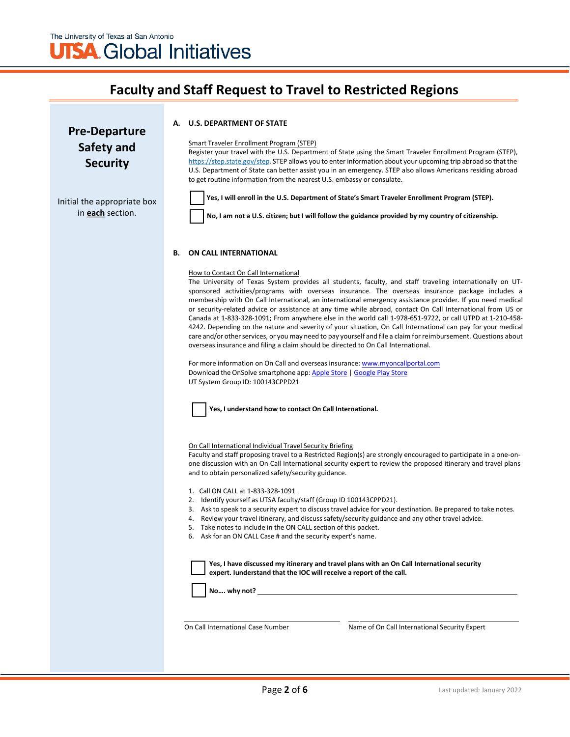### **Pre-Departure Safety and Security**

#### **A. U.S. DEPARTMENT OF STATE**

Smart Traveler Enrollment Program (STEP)

Register your travel with the U.S. Department of State using the Smart Traveler Enrollment Program (STEP), [https://step.state.gov/step.](https://step.state.gov/step) STEP allows you to enter information about your upcoming trip abroad so that the U.S. Department of State can better assist you in an emergency. STEP also allows Americans residing abroad to get routine information from the nearest U.S. embassy or consulate.

Initial the appropriate box in **each** section.

**Yes, I will enroll in the U.S. Department of State's Smart Traveler Enrollment Program (STEP).**

No, I am not a U.S. citizen; but I will follow the guidance provided by my country of citizenship.

#### **B. ON CALL INTERNATIONAL**

#### How to Contact On Call International

The University of Texas System provides all students, faculty, and staff traveling internationally on UTsponsored activities/programs with overseas insurance. The overseas insurance package includes a membership with On Call International, an international emergency assistance provider. If you need medical or security-related advice or assistance at any time while abroad, contact On Call International from US or Canada at 1-833-328-1091; From anywhere else in the world call 1-978-651-9722, or call UTPD at 1-210-458- 4242. Depending on the nature and severity of your situation, On Call International can pay for your medical care and/or other services, or you may need to pay yourself and file a claim for reimbursement. Questions about overseas insurance and filing a claim should be directed to On Call International.

For more information on On Call and overseas insurance: [www.myoncallportal.com](http://www.myoncallportal.com/) Download the OnSolve smartphone app: [Apple Store](https://apps.apple.com/us/app/onsolve/id1487868963) [| Google Play Store](https://play.google.com/store/apps/details?id=com.onsolve.alerting&hl=en_US&gl=US) UT System Group ID: 100143CPPD21



**Yes, I understand how to contact On Call International.**

On Call International Individual Travel Security Briefing

Faculty and staff proposing travel to a Restricted Region(s) are strongly encouraged to participate in a one-onone discussion with an On Call International security expert to review the proposed itinerary and travel plans and to obtain personalized safety/security guidance.

1. Call ON CALL at 1-833-328-1091

- 2. Identify yourself as UTSA faculty/staff (Group ID 100143CPPD21).
- 3. Ask to speak to a security expert to discuss travel advice for your destination. Be prepared to take notes.
- 4. Review your travel itinerary, and discuss safety/security guidance and any other travel advice.
- 5. Take notes to include in the ON CALL section of this packet.
- 6. Ask for an ON CALL Case # and the security expert's name.

**Yes, I have discussed my itinerary and travel plans with an On Call International security expert. Iunderstand that the IOC will receive a report of the call.**

**No…. why not?**

On Call International Case Number Name of On Call International Security Expert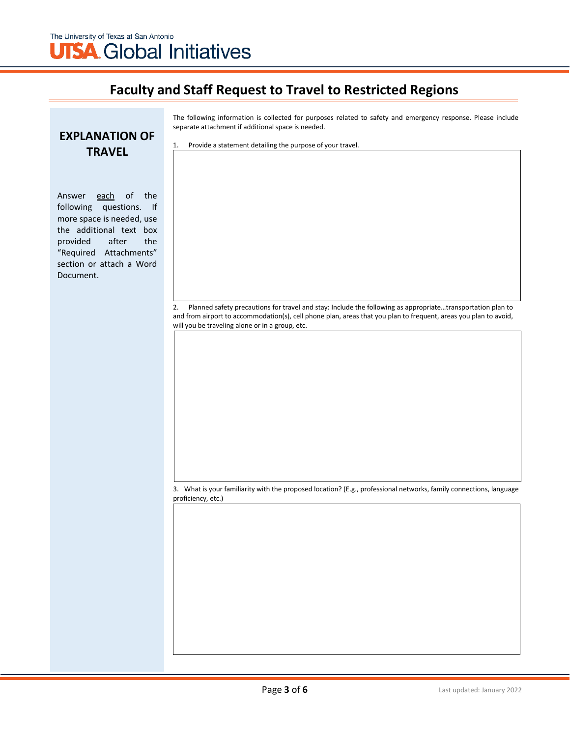The following information is collected for purposes related to safety and emergency response. Please include separate attachment if additional space is needed.

### **EXPLANATION OF TRAVEL**

Answer each of the following questions. If more space is needed, use the additional text box provided after the "Required Attachments" section or attach a Word Document.

| Provide a statement detailing the purpose of your travel.<br>1. |  |
|-----------------------------------------------------------------|--|
|-----------------------------------------------------------------|--|

2. Planned safety precautions for travel and stay: Include the following as appropriate…transportation plan to and from airport to accommodation(s), cell phone plan, areas that you plan to frequent, areas you plan to avoid, will you be traveling alone or in a group, etc.

3. What is your familiarity with the proposed location? (E.g., professional networks, family connections, language proficiency, etc.)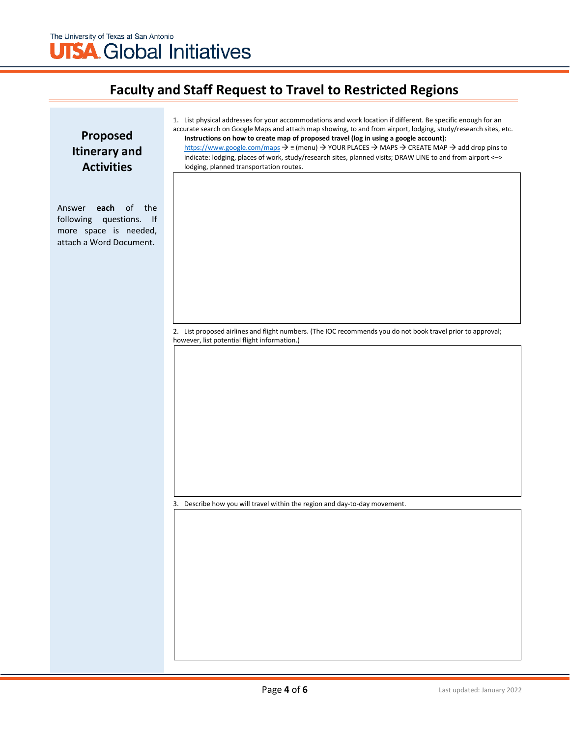| Proposed<br><b>Itinerary and</b><br><b>Activities</b>                                                   | 1. List physical addresses for your accommodations and work location if different. Be specific enough for an<br>accurate search on Google Maps and attach map showing, to and from airport, lodging, study/research sites, etc.<br>Instructions on how to create map of proposed travel (log in using a google account):<br>https://www.google.com/maps $\rightarrow \equiv$ (menu) $\rightarrow$ YOUR PLACES $\rightarrow$ MAPS $\rightarrow$ CREATE MAP $\rightarrow$ add drop pins to<br>indicate: lodging, places of work, study/research sites, planned visits; DRAW LINE to and from airport <-><br>lodging, planned transportation routes. |  |  |  |
|---------------------------------------------------------------------------------------------------------|---------------------------------------------------------------------------------------------------------------------------------------------------------------------------------------------------------------------------------------------------------------------------------------------------------------------------------------------------------------------------------------------------------------------------------------------------------------------------------------------------------------------------------------------------------------------------------------------------------------------------------------------------|--|--|--|
| each of the<br>Answer<br>questions. If<br>following<br>more space is needed,<br>attach a Word Document. |                                                                                                                                                                                                                                                                                                                                                                                                                                                                                                                                                                                                                                                   |  |  |  |
|                                                                                                         | 2. List proposed airlines and flight numbers. (The IOC recommends you do not book travel prior to approval;<br>however, list potential flight information.)                                                                                                                                                                                                                                                                                                                                                                                                                                                                                       |  |  |  |
|                                                                                                         | 3. Describe how you will travel within the region and day-to-day movement.                                                                                                                                                                                                                                                                                                                                                                                                                                                                                                                                                                        |  |  |  |
|                                                                                                         |                                                                                                                                                                                                                                                                                                                                                                                                                                                                                                                                                                                                                                                   |  |  |  |
|                                                                                                         |                                                                                                                                                                                                                                                                                                                                                                                                                                                                                                                                                                                                                                                   |  |  |  |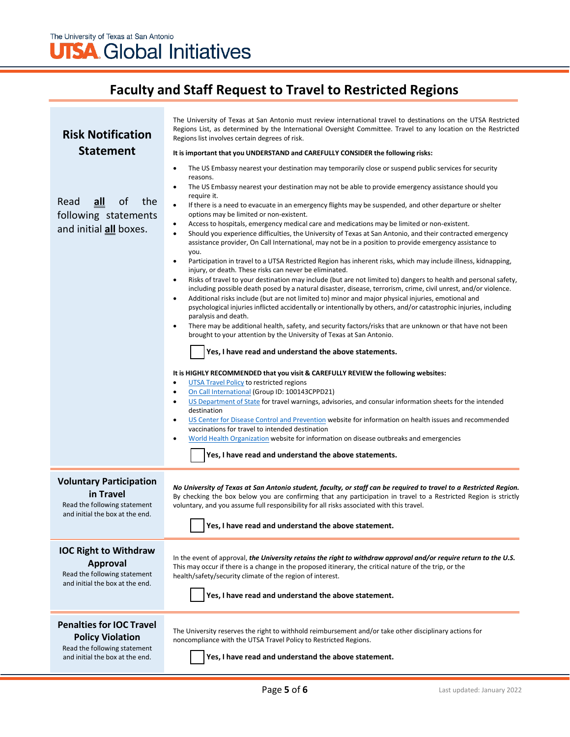# **UTSA** Global Initiatives

# **Faculty and Staff Request to Travel to Restricted Regions**

| <b>Risk Notification</b><br><b>Statement</b>                                                                                  | The University of Texas at San Antonio must review international travel to destinations on the UTSA Restricted<br>Regions List, as determined by the International Oversight Committee. Travel to any location on the Restricted<br>Regions list involves certain degrees of risk.<br>It is important that you UNDERSTAND and CAREFULLY CONSIDER the following risks:                                                                                                                                                                                                                                                                                                                                                                                                                                                                                                                                                                                                                                                                                                                                                                                                                                                                                                                                                                                                                                                                                                                                                                                                                                                                                                                                                                                                                                                                                                                                                                                             |  |  |
|-------------------------------------------------------------------------------------------------------------------------------|-------------------------------------------------------------------------------------------------------------------------------------------------------------------------------------------------------------------------------------------------------------------------------------------------------------------------------------------------------------------------------------------------------------------------------------------------------------------------------------------------------------------------------------------------------------------------------------------------------------------------------------------------------------------------------------------------------------------------------------------------------------------------------------------------------------------------------------------------------------------------------------------------------------------------------------------------------------------------------------------------------------------------------------------------------------------------------------------------------------------------------------------------------------------------------------------------------------------------------------------------------------------------------------------------------------------------------------------------------------------------------------------------------------------------------------------------------------------------------------------------------------------------------------------------------------------------------------------------------------------------------------------------------------------------------------------------------------------------------------------------------------------------------------------------------------------------------------------------------------------------------------------------------------------------------------------------------------------|--|--|
| the<br>Read<br>$all$<br>of<br>following statements<br>and initial all boxes.                                                  | The US Embassy nearest your destination may temporarily close or suspend public services for security<br>٠<br>reasons.<br>The US Embassy nearest your destination may not be able to provide emergency assistance should you<br>$\bullet$<br>require it.<br>$\bullet$<br>If there is a need to evacuate in an emergency flights may be suspended, and other departure or shelter<br>options may be limited or non-existent.<br>Access to hospitals, emergency medical care and medications may be limited or non-existent.<br>$\bullet$<br>$\bullet$<br>Should you experience difficulties, the University of Texas at San Antonio, and their contracted emergency<br>assistance provider, On Call International, may not be in a position to provide emergency assistance to<br>you.<br>Participation in travel to a UTSA Restricted Region has inherent risks, which may include illness, kidnapping,<br>$\bullet$<br>injury, or death. These risks can never be eliminated.<br>Risks of travel to your destination may include (but are not limited to) dangers to health and personal safety,<br>$\bullet$<br>including possible death posed by a natural disaster, disease, terrorism, crime, civil unrest, and/or violence.<br>Additional risks include (but are not limited to) minor and major physical injuries, emotional and<br>$\bullet$<br>psychological injuries inflicted accidentally or intentionally by others, and/or catastrophic injuries, including<br>paralysis and death.<br>There may be additional health, safety, and security factors/risks that are unknown or that have not been<br>٠<br>brought to your attention by the University of Texas at San Antonio.<br>Yes, I have read and understand the above statements.<br>It is HIGHLY RECOMMENDED that you visit & CAREFULLY REVIEW the following websites:<br><b>UTSA Travel Policy to restricted regions</b><br>$\bullet$<br>On Call International (Group ID: 100143CPPD21)<br>٠ |  |  |
|                                                                                                                               | US Department of State for travel warnings, advisories, and consular information sheets for the intended<br>$\bullet$<br>destination<br>US Center for Disease Control and Prevention website for information on health issues and recommended<br>$\bullet$<br>vaccinations for travel to intended destination<br>World Health Organization website for information on disease outbreaks and emergencies<br>$\bullet$<br>Yes, I have read and understand the above statements.                                                                                                                                                                                                                                                                                                                                                                                                                                                                                                                                                                                                                                                                                                                                                                                                                                                                                                                                                                                                                                                                                                                                                                                                                                                                                                                                                                                                                                                                                     |  |  |
| <b>Voluntary Participation</b><br>in Travel<br>Read the following statement<br>and initial the box at the end.                | No University of Texas at San Antonio student, faculty, or staff can be required to travel to a Restricted Region.<br>By checking the box below you are confirming that any participation in travel to a Restricted Region is strictly<br>voluntary, and you assume full responsibility for all risks associated with this travel.<br>Yes, I have read and understand the above statement.                                                                                                                                                                                                                                                                                                                                                                                                                                                                                                                                                                                                                                                                                                                                                                                                                                                                                                                                                                                                                                                                                                                                                                                                                                                                                                                                                                                                                                                                                                                                                                        |  |  |
| <b>IOC Right to Withdraw</b><br><b>Approval</b><br>Read the following statement<br>and initial the box at the end.            | In the event of approval, the University retains the right to withdraw approval and/or require return to the U.S.<br>This may occur if there is a change in the proposed itinerary, the critical nature of the trip, or the<br>health/safety/security climate of the region of interest.<br>Yes, I have read and understand the above statement.                                                                                                                                                                                                                                                                                                                                                                                                                                                                                                                                                                                                                                                                                                                                                                                                                                                                                                                                                                                                                                                                                                                                                                                                                                                                                                                                                                                                                                                                                                                                                                                                                  |  |  |
| <b>Penalties for IOC Travel</b><br><b>Policy Violation</b><br>Read the following statement<br>and initial the box at the end. | The University reserves the right to withhold reimbursement and/or take other disciplinary actions for<br>noncompliance with the UTSA Travel Policy to Restricted Regions.<br>Yes, I have read and understand the above statement.                                                                                                                                                                                                                                                                                                                                                                                                                                                                                                                                                                                                                                                                                                                                                                                                                                                                                                                                                                                                                                                                                                                                                                                                                                                                                                                                                                                                                                                                                                                                                                                                                                                                                                                                |  |  |